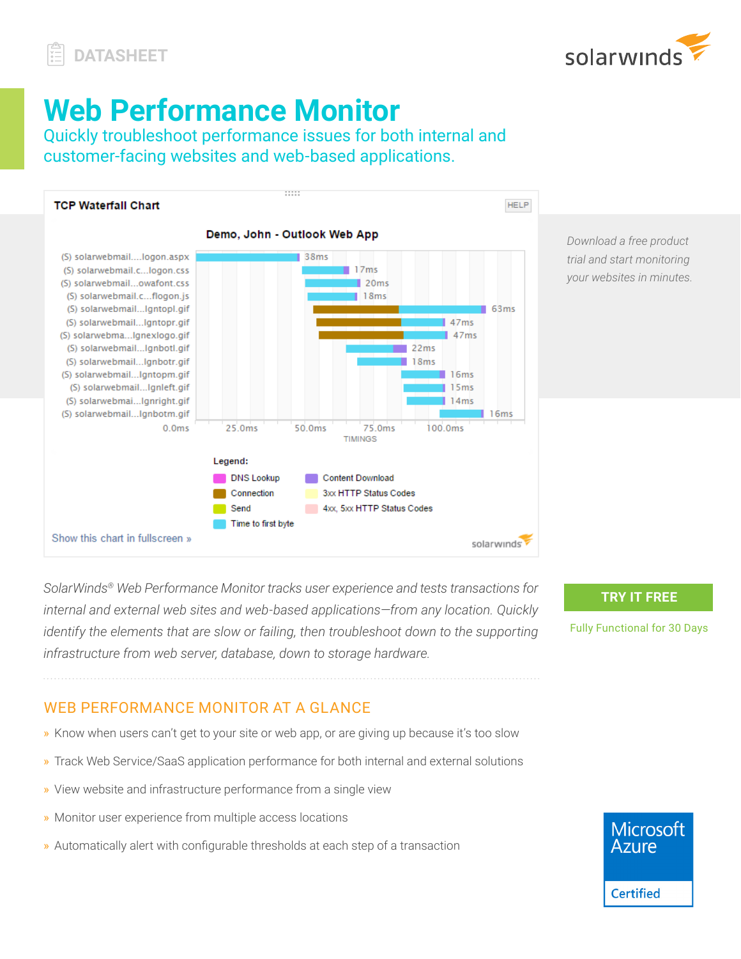

# **Web Performance Monitor**

Quickly troubleshoot performance issues for both internal and customer-facing websites and web-based applications.



*Download a free product trial and start monitoring your websites in minutes.*

*SolarWinds® Web Performance Monitor tracks user experience and tests transactions for internal and external web sites and web-based applications—from any location. Quickly identify the elements that are slow or failing, then troubleshoot down to the supporting infrastructure from web server, database, down to storage hardware.* 

#### **TRY IT FREE**

Fully Functional for 30 Days

## WEB PERFORMANCE MONITOR AT A GLANCE

- » Know when users can't get to your site or web app, or are giving up because it's too slow
- » Track Web Service/SaaS application performance for both internal and external solutions
- » View website and infrastructure performance from a single view
- » Monitor user experience from multiple access locations
- » Automatically alert with configurable thresholds at each step of a transaction

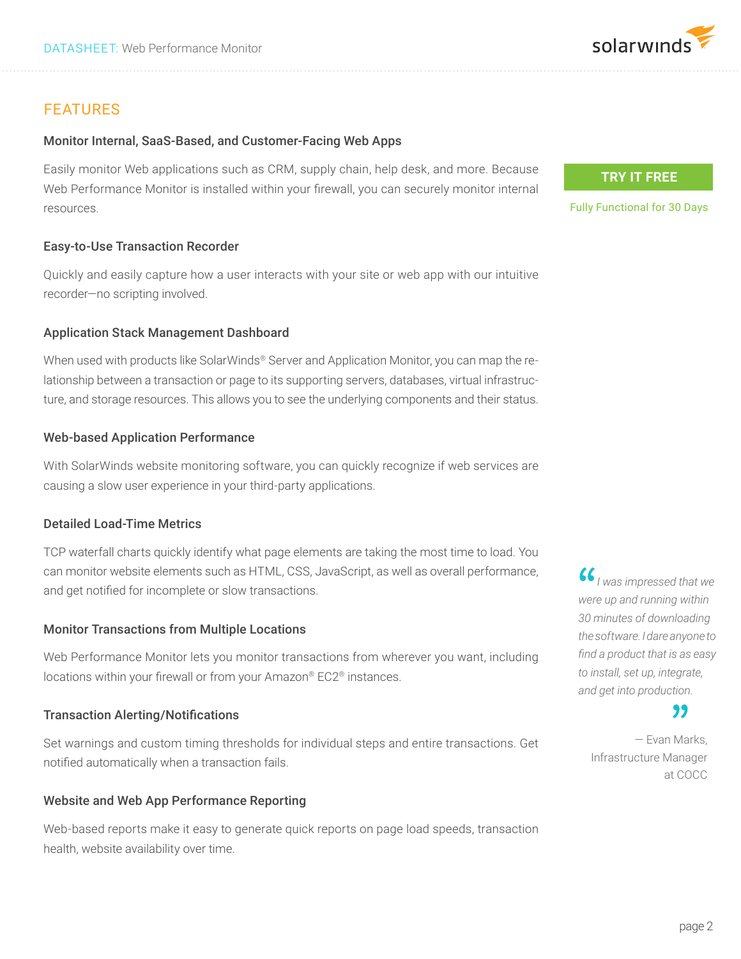## FEATURES

### Monitor Internal, SaaS-Based, and Customer-Facing Web Apps

Easily monitor Web applications such as CRM, supply chain, help desk, and more. Because Web Performance Monitor is installed within your firewall, you can securely monitor internal resources.

### Easy-to-Use Transaction Recorder

Quickly and easily capture how a user interacts with your site or web app with our intuitive recorder—no scripting involved.

## Application Stack Management Dashboard

When used with products like SolarWinds® Server and Application Monitor, you can map the relationship between a transaction or page to its supporting servers, databases, virtual infrastructure, and storage resources. This allows you to see the underlying components and their status.

### Web-based Application Performance

With SolarWinds website monitoring software, you can quickly recognize if web services are causing a slow user experience in your third-party applications.

## Detailed Load-Time Metrics

TCP waterfall charts quickly identify what page elements are taking the most time to load. You can monitor website elements such as HTML, CSS, JavaScript, as well as overall performance, and get notified for incomplete or slow transactions.

## Monitor Transactions from Multiple Locations

Web Performance Monitor lets you monitor transactions from wherever you want, including locations within your firewall or from your Amazon® EC2® instances.

#### Transaction Alerting/Notifications

Set warnings and custom timing thresholds for individual steps and entire transactions. Get notified automatically when a transaction fails.

## Website and Web App Performance Reporting

Web-based reports make it easy to generate quick reports on page load speeds, transaction health, website availability over time.

## **TRY IT FREE**

Fully Functional for 30 Days

 *I was impressed that we were up and running within 30 minutes of downloading the software. I dare anyone to find a product that is as easy to install, set up, integrate, and get into production.*

## "

— Evan Marks, Infrastructure Manager at COCC

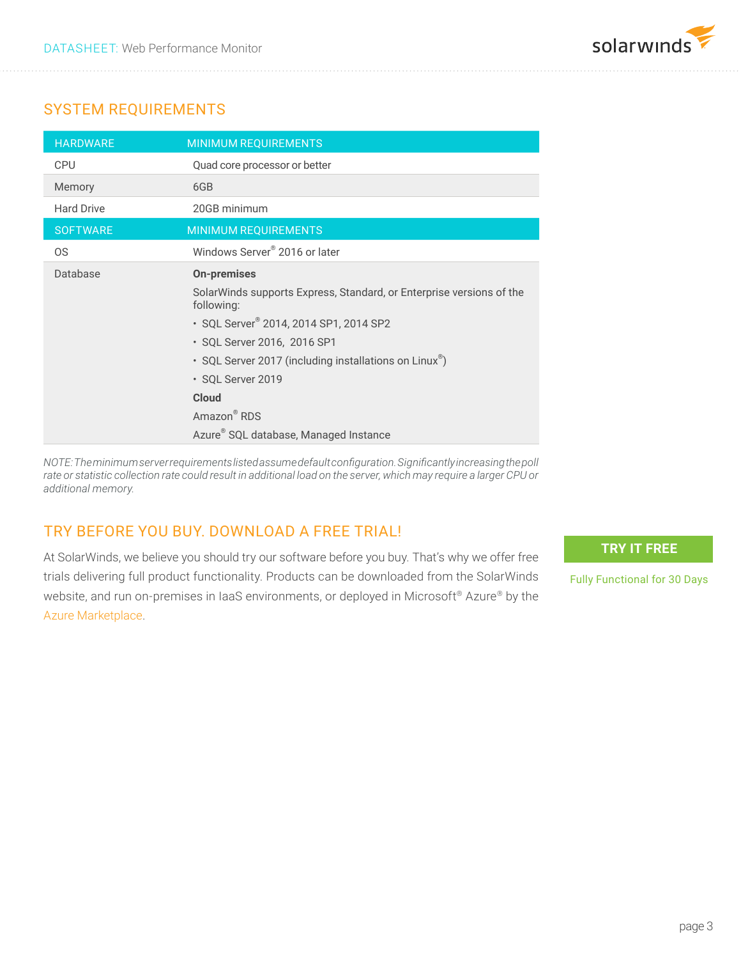

## SYSTEM REQUIREMENTS

| <b>HARDWARE</b>   | <b>MINIMUM REQUIREMENTS</b>                                                        |
|-------------------|------------------------------------------------------------------------------------|
| <b>CPU</b>        | Quad core processor or better                                                      |
| Memory            | 6GB                                                                                |
| <b>Hard Drive</b> | 20GB minimum                                                                       |
| <b>SOFTWARE</b>   | <b>MINIMUM REQUIREMENTS</b>                                                        |
| <b>OS</b>         | Windows Server <sup>®</sup> 2016 or later                                          |
| Database          | <b>On-premises</b>                                                                 |
|                   | SolarWinds supports Express, Standard, or Enterprise versions of the<br>following: |
|                   | · SQL Server <sup>®</sup> 2014, 2014 SP1, 2014 SP2                                 |
|                   | • SQL Server 2016, 2016 SP1                                                        |
|                   | • SQL Server 2017 (including installations on Linux <sup>®</sup> )                 |
|                   | · SQL Server 2019                                                                  |
|                   | <b>Cloud</b>                                                                       |
|                   | Amazon <sup>®</sup> RDS                                                            |
|                   | Azure <sup>®</sup> SQL database, Managed Instance                                  |

*NOTE: The minimum server requirements listed assume default configuration. Significantly increasing the poll rate or statistic collection rate could result in additional load on the server, which may require a larger CPU or additional memory.*

## TRY BEFORE YOU BUY. DOWNLOAD A FREE TRIAL!

At SolarWinds, we believe you should try our software before you buy. That's why we offer free trials delivering full product functionality. Products can be downloaded from the SolarWinds website, and run on-premises in IaaS environments, or deployed in Microsoft®️ Azure® by the [Azure Marketplace.](https://azure.microsoft.com/en-us/search/?q=solarwinds)

**TRY IT FREE**

Fully Functional for 30 Days